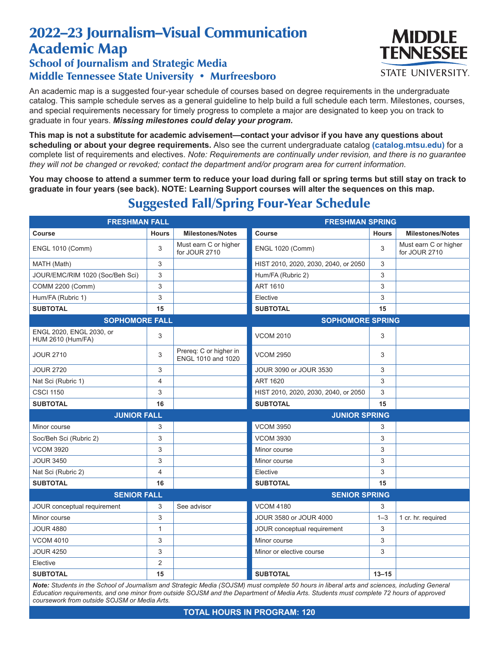## 2022–23 Journalism–Visual Communication Academic Map

## School of Journalism and Strategic Media Middle Tennessee State University • Murfreesboro

An academic map is a suggested four-year schedule of courses based on degree requirements in the undergraduate catalog. This sample schedule serves as a general guideline to help build a full schedule each term. Milestones, courses, and special requirements necessary for timely progress to complete a major are designated to keep you on track to graduate in four years. *Missing milestones could delay your program.*

**This map is not a substitute for academic advisement—contact your advisor if you have any questions about scheduling or about your degree requirements.** Also see the current undergraduate catalog **(catalog.mtsu.edu)** for a complete list of requirements and electives. *Note: Requirements are continually under revision, and there is no guarantee they will not be changed or revoked; contact the department and/or program area for current information.*

**You may choose to attend a summer term to reduce your load during fall or spring terms but still stay on track to graduate in four years (see back). NOTE: Learning Support courses will alter the sequences on this map.**

| <b>FRESHMAN FALL</b>                                 |                |                                              | <b>FRESHMAN SPRING</b>               |              |                                        |  |
|------------------------------------------------------|----------------|----------------------------------------------|--------------------------------------|--------------|----------------------------------------|--|
| <b>Course</b>                                        | <b>Hours</b>   | <b>Milestones/Notes</b>                      | Course                               | <b>Hours</b> | <b>Milestones/Notes</b>                |  |
| <b>ENGL 1010 (Comm)</b>                              | 3              | Must earn C or higher<br>for JOUR 2710       | <b>ENGL 1020 (Comm)</b>              | 3            | Must earn C or higher<br>for JOUR 2710 |  |
| MATH (Math)                                          | 3              |                                              | HIST 2010, 2020, 2030, 2040, or 2050 | 3            |                                        |  |
| JOUR/EMC/RIM 1020 (Soc/Beh Sci)                      | 3              |                                              | Hum/FA (Rubric 2)                    | 3            |                                        |  |
| COMM 2200 (Comm)                                     | 3              |                                              | <b>ART 1610</b>                      | 3            |                                        |  |
| Hum/FA (Rubric 1)                                    | 3              |                                              | Elective                             | 3            |                                        |  |
| <b>SUBTOTAL</b>                                      | 15             |                                              | <b>SUBTOTAL</b>                      | 15           |                                        |  |
| <b>SOPHOMORE FALL</b>                                |                |                                              | <b>SOPHOMORE SPRING</b>              |              |                                        |  |
| ENGL 2020, ENGL 2030, or<br><b>HUM 2610 (Hum/FA)</b> | 3              |                                              | <b>VCOM 2010</b>                     | 3            |                                        |  |
| <b>JOUR 2710</b>                                     | 3              | Prereq: C or higher in<br>ENGL 1010 and 1020 | <b>VCOM 2950</b>                     | 3            |                                        |  |
| <b>JOUR 2720</b>                                     | 3              |                                              | JOUR 3090 or JOUR 3530               | 3            |                                        |  |
| Nat Sci (Rubric 1)                                   | 4              |                                              | <b>ART 1620</b>                      | 3            |                                        |  |
| <b>CSCI 1150</b>                                     | 3              |                                              | HIST 2010, 2020, 2030, 2040, or 2050 | 3            |                                        |  |
| <b>SUBTOTAL</b>                                      | 16             |                                              | <b>SUBTOTAL</b>                      | 15           |                                        |  |
| <b>JUNIOR FALL</b>                                   |                | <b>JUNIOR SPRING</b>                         |                                      |              |                                        |  |
| Minor course                                         | 3              |                                              | <b>VCOM 3950</b>                     | 3            |                                        |  |
| Soc/Beh Sci (Rubric 2)                               | 3              |                                              | <b>VCOM 3930</b>                     | 3            |                                        |  |
| <b>VCOM 3920</b>                                     | 3              |                                              | Minor course                         | 3            |                                        |  |
| <b>JOUR 3450</b>                                     | 3              |                                              | Minor course                         | 3            |                                        |  |
| Nat Sci (Rubric 2)                                   | $\overline{4}$ |                                              | Elective                             | 3            |                                        |  |
| <b>SUBTOTAL</b>                                      | 16             |                                              | <b>SUBTOTAL</b>                      | 15           |                                        |  |
| <b>SENIOR FALL</b>                                   |                | <b>SENIOR SPRING</b>                         |                                      |              |                                        |  |
| JOUR conceptual requirement                          | 3              | See advisor                                  | <b>VCOM 4180</b>                     | 3            |                                        |  |
| Minor course                                         | 3              |                                              | JOUR 3580 or JOUR 4000               | $1 - 3$      | 1 cr. hr. required                     |  |
| <b>JOUR 4880</b>                                     | $\mathbf{1}$   |                                              | JOUR conceptual requirement          | 3            |                                        |  |
| <b>VCOM 4010</b>                                     | 3              |                                              | Minor course                         | 3            |                                        |  |
| <b>JOUR 4250</b>                                     | 3              |                                              | Minor or elective course             | 3            |                                        |  |
| Elective                                             | $\overline{2}$ |                                              |                                      |              |                                        |  |
| <b>SUBTOTAL</b>                                      | 15             |                                              | <b>SUBTOTAL</b>                      | $13 - 15$    |                                        |  |

## Suggested Fall/Spring Four-Year Schedule

*Note: Students in the School of Journalism and Strategic Media (SOJSM) must complete 50 hours in liberal arts and sciences, including General Education requirements, and one minor from outside SOJSM and the Department of Media Arts. Students must complete 72 hours of approved coursework from outside SOJSM or Media Arts.*